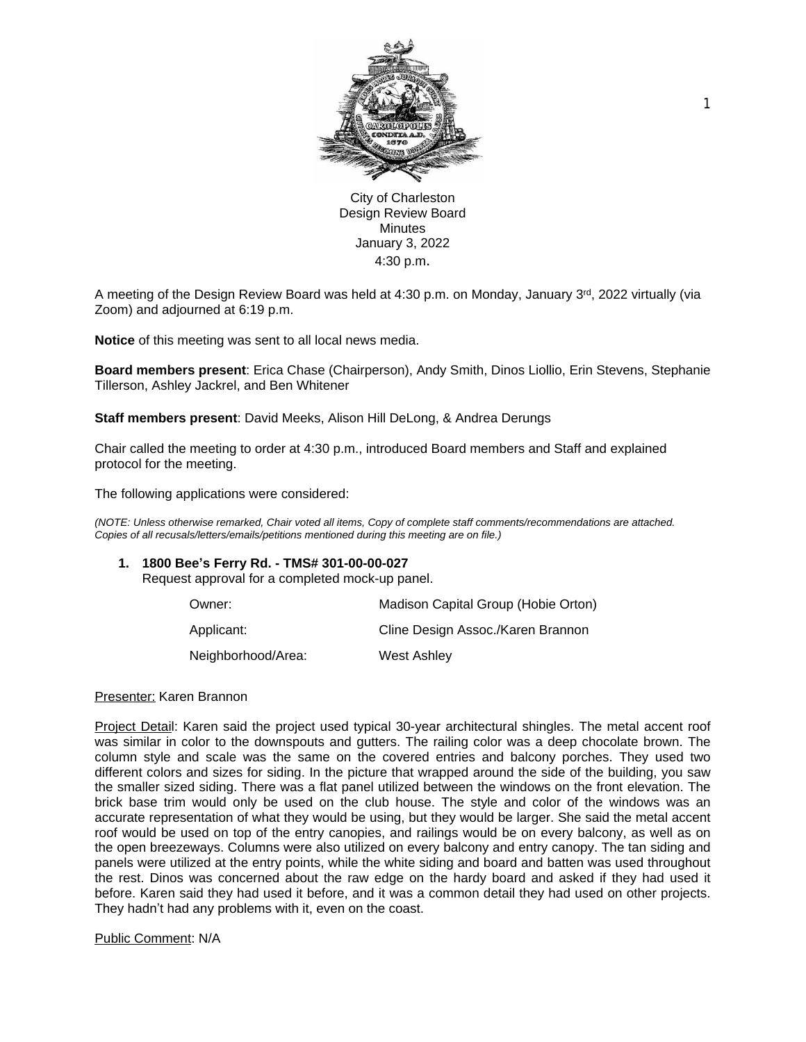

City of Charleston Design Review Board **Minutes** January 3, 2022 4:30 p.m.

A meeting of the Design Review Board was held at 4:30 p.m. on Monday, January 3rd, 2022 virtually (via Zoom) and adjourned at 6:19 p.m.

**Notice** of this meeting was sent to all local news media.

**Board members present**: Erica Chase (Chairperson), Andy Smith, Dinos Liollio, Erin Stevens, Stephanie Tillerson, Ashley Jackrel, and Ben Whitener

**Staff members present**: David Meeks, Alison Hill DeLong, & Andrea Derungs

Chair called the meeting to order at 4:30 p.m., introduced Board members and Staff and explained protocol for the meeting.

The following applications were considered:

*(NOTE: Unless otherwise remarked, Chair voted all items, Copy of complete staff comments/recommendations are attached. Copies of all recusals/letters/emails/petitions mentioned during this meeting are on file.)* 

## **1. 1800 Bee's Ferry Rd. - TMS# 301-00-00-027**

Request approval for a completed mock-up panel.

| Owner:             | Madison Capital Group (Hobie Orton) |
|--------------------|-------------------------------------|
| Applicant:         | Cline Design Assoc./Karen Brannon   |
| Neighborhood/Area: | West Ashley                         |

## Presenter: Karen Brannon

Project Detail: Karen said the project used typical 30-year architectural shingles. The metal accent roof was similar in color to the downspouts and gutters. The railing color was a deep chocolate brown. The column style and scale was the same on the covered entries and balcony porches. They used two different colors and sizes for siding. In the picture that wrapped around the side of the building, you saw the smaller sized siding. There was a flat panel utilized between the windows on the front elevation. The brick base trim would only be used on the club house. The style and color of the windows was an accurate representation of what they would be using, but they would be larger. She said the metal accent roof would be used on top of the entry canopies, and railings would be on every balcony, as well as on the open breezeways. Columns were also utilized on every balcony and entry canopy. The tan siding and panels were utilized at the entry points, while the white siding and board and batten was used throughout the rest. Dinos was concerned about the raw edge on the hardy board and asked if they had used it before. Karen said they had used it before, and it was a common detail they had used on other projects. They hadn't had any problems with it, even on the coast.

Public Comment: N/A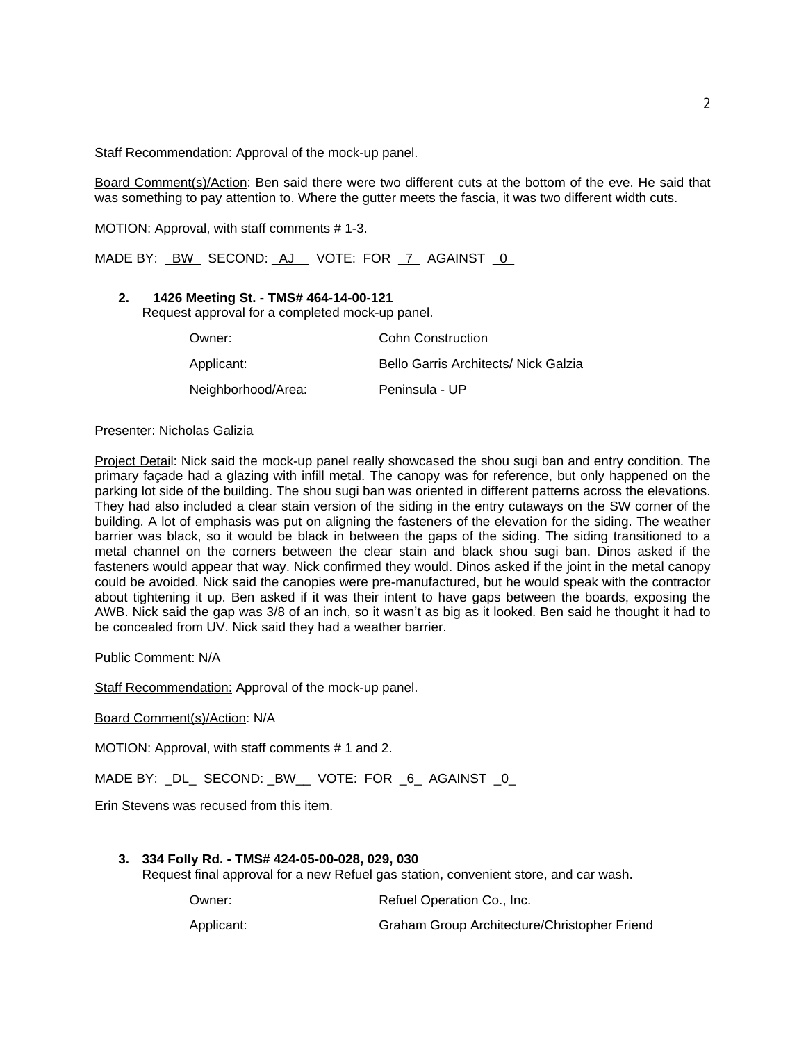Staff Recommendation: Approval of the mock-up panel.

Board Comment(s)/Action: Ben said there were two different cuts at the bottom of the eve. He said that was something to pay attention to. Where the gutter meets the fascia, it was two different width cuts.

MOTION: Approval, with staff comments # 1-3.

MADE BY: <u>\_BW\_</u> SECOND: \_AJ\_\_ VOTE: FOR \_7\_ AGAINST \_0\_

# **2. 1426 Meeting St. - TMS# 464-14-00-121**

Request approval for a completed mock-up panel.

| Owner:             | <b>Cohn Construction</b>             |
|--------------------|--------------------------------------|
| Applicant:         | Bello Garris Architects/ Nick Galzia |
| Neighborhood/Area: | Peninsula - UP                       |

## Presenter: Nicholas Galizia

Project Detail: Nick said the mock-up panel really showcased the shou sugi ban and entry condition. The primary façade had a glazing with infill metal. The canopy was for reference, but only happened on the parking lot side of the building. The shou sugi ban was oriented in different patterns across the elevations. They had also included a clear stain version of the siding in the entry cutaways on the SW corner of the building. A lot of emphasis was put on aligning the fasteners of the elevation for the siding. The weather barrier was black, so it would be black in between the gaps of the siding. The siding transitioned to a metal channel on the corners between the clear stain and black shou sugi ban. Dinos asked if the fasteners would appear that way. Nick confirmed they would. Dinos asked if the joint in the metal canopy could be avoided. Nick said the canopies were pre-manufactured, but he would speak with the contractor about tightening it up. Ben asked if it was their intent to have gaps between the boards, exposing the AWB. Nick said the gap was 3/8 of an inch, so it wasn't as big as it looked. Ben said he thought it had to be concealed from UV. Nick said they had a weather barrier.

Public Comment: N/A

Staff Recommendation: Approval of the mock-up panel.

Board Comment(s)/Action: N/A

MOTION: Approval, with staff comments # 1 and 2.

MADE BY: \_DL\_ SECOND: \_BW\_\_ VOTE: FOR \_6\_ AGAINST \_0\_

Erin Stevens was recused from this item.

## **3. 334 Folly Rd. - TMS# 424-05-00-028, 029, 030**

Request final approval for a new Refuel gas station, convenient store, and car wash.

Owner: Communication Co., Inc. Communication Co., Inc.

Applicant: Graham Group Architecture/Christopher Friend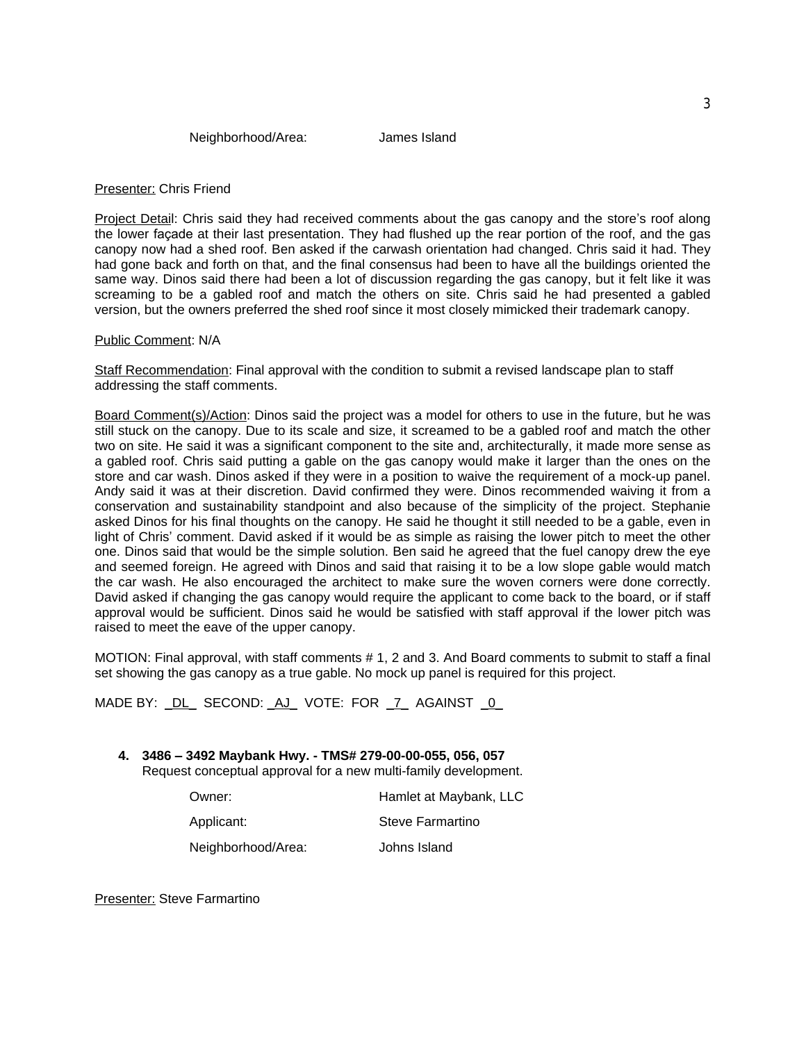# Presenter: Chris Friend

Project Detail: Chris said they had received comments about the gas canopy and the store's roof along the lower façade at their last presentation. They had flushed up the rear portion of the roof, and the gas canopy now had a shed roof. Ben asked if the carwash orientation had changed. Chris said it had. They had gone back and forth on that, and the final consensus had been to have all the buildings oriented the same way. Dinos said there had been a lot of discussion regarding the gas canopy, but it felt like it was screaming to be a gabled roof and match the others on site. Chris said he had presented a gabled version, but the owners preferred the shed roof since it most closely mimicked their trademark canopy.

## Public Comment: N/A

Staff Recommendation: Final approval with the condition to submit a revised landscape plan to staff addressing the staff comments.

Board Comment(s)/Action: Dinos said the project was a model for others to use in the future, but he was still stuck on the canopy. Due to its scale and size, it screamed to be a gabled roof and match the other two on site. He said it was a significant component to the site and, architecturally, it made more sense as a gabled roof. Chris said putting a gable on the gas canopy would make it larger than the ones on the store and car wash. Dinos asked if they were in a position to waive the requirement of a mock-up panel. Andy said it was at their discretion. David confirmed they were. Dinos recommended waiving it from a conservation and sustainability standpoint and also because of the simplicity of the project. Stephanie asked Dinos for his final thoughts on the canopy. He said he thought it still needed to be a gable, even in light of Chris' comment. David asked if it would be as simple as raising the lower pitch to meet the other one. Dinos said that would be the simple solution. Ben said he agreed that the fuel canopy drew the eye and seemed foreign. He agreed with Dinos and said that raising it to be a low slope gable would match the car wash. He also encouraged the architect to make sure the woven corners were done correctly. David asked if changing the gas canopy would require the applicant to come back to the board, or if staff approval would be sufficient. Dinos said he would be satisfied with staff approval if the lower pitch was raised to meet the eave of the upper canopy.

MOTION: Final approval, with staff comments # 1, 2 and 3. And Board comments to submit to staff a final set showing the gas canopy as a true gable. No mock up panel is required for this project.

MADE BY: DL SECOND: AJ VOTE: FOR 7 AGAINST 0

#### **4. 3486 – 3492 Maybank Hwy. - TMS# 279-00-00-055, 056, 057** Request conceptual approval for a new multi-family development.

| Owner:             | Hamlet at Maybank, LLC |
|--------------------|------------------------|
| Applicant:         | Steve Farmartino       |
| Neighborhood/Area: | Johns Island           |

Presenter: Steve Farmartino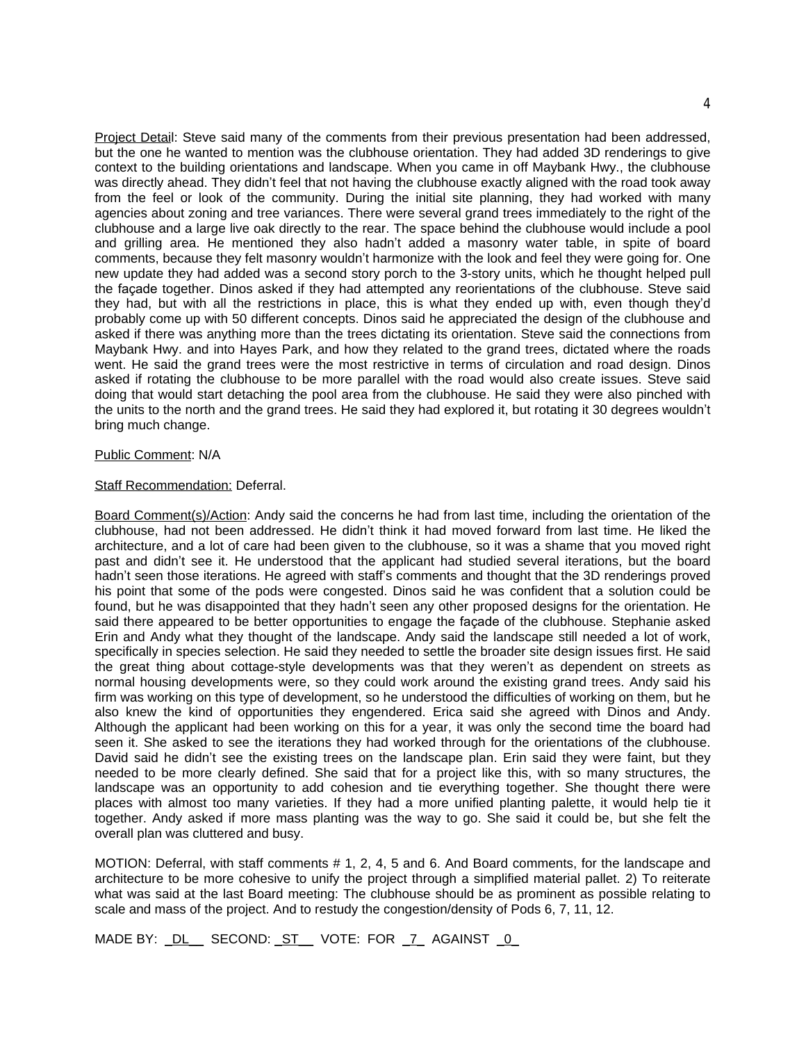Project Detail: Steve said many of the comments from their previous presentation had been addressed, but the one he wanted to mention was the clubhouse orientation. They had added 3D renderings to give context to the building orientations and landscape. When you came in off Maybank Hwy., the clubhouse was directly ahead. They didn't feel that not having the clubhouse exactly aligned with the road took away from the feel or look of the community. During the initial site planning, they had worked with many agencies about zoning and tree variances. There were several grand trees immediately to the right of the clubhouse and a large live oak directly to the rear. The space behind the clubhouse would include a pool and grilling area. He mentioned they also hadn't added a masonry water table, in spite of board comments, because they felt masonry wouldn't harmonize with the look and feel they were going for. One new update they had added was a second story porch to the 3-story units, which he thought helped pull the façade together. Dinos asked if they had attempted any reorientations of the clubhouse. Steve said they had, but with all the restrictions in place, this is what they ended up with, even though they'd probably come up with 50 different concepts. Dinos said he appreciated the design of the clubhouse and asked if there was anything more than the trees dictating its orientation. Steve said the connections from Maybank Hwy. and into Hayes Park, and how they related to the grand trees, dictated where the roads went. He said the grand trees were the most restrictive in terms of circulation and road design. Dinos asked if rotating the clubhouse to be more parallel with the road would also create issues. Steve said doing that would start detaching the pool area from the clubhouse. He said they were also pinched with the units to the north and the grand trees. He said they had explored it, but rotating it 30 degrees wouldn't bring much change.

## Public Comment: N/A

#### **Staff Recommendation: Deferral.**

Board Comment(s)/Action: Andy said the concerns he had from last time, including the orientation of the clubhouse, had not been addressed. He didn't think it had moved forward from last time. He liked the architecture, and a lot of care had been given to the clubhouse, so it was a shame that you moved right past and didn't see it. He understood that the applicant had studied several iterations, but the board hadn't seen those iterations. He agreed with staff's comments and thought that the 3D renderings proved his point that some of the pods were congested. Dinos said he was confident that a solution could be found, but he was disappointed that they hadn't seen any other proposed designs for the orientation. He said there appeared to be better opportunities to engage the façade of the clubhouse. Stephanie asked Erin and Andy what they thought of the landscape. Andy said the landscape still needed a lot of work, specifically in species selection. He said they needed to settle the broader site design issues first. He said the great thing about cottage-style developments was that they weren't as dependent on streets as normal housing developments were, so they could work around the existing grand trees. Andy said his firm was working on this type of development, so he understood the difficulties of working on them, but he also knew the kind of opportunities they engendered. Erica said she agreed with Dinos and Andy. Although the applicant had been working on this for a year, it was only the second time the board had seen it. She asked to see the iterations they had worked through for the orientations of the clubhouse. David said he didn't see the existing trees on the landscape plan. Erin said they were faint, but they needed to be more clearly defined. She said that for a project like this, with so many structures, the landscape was an opportunity to add cohesion and tie everything together. She thought there were places with almost too many varieties. If they had a more unified planting palette, it would help tie it together. Andy asked if more mass planting was the way to go. She said it could be, but she felt the overall plan was cluttered and busy.

MOTION: Deferral, with staff comments # 1, 2, 4, 5 and 6. And Board comments, for the landscape and architecture to be more cohesive to unify the project through a simplified material pallet. 2) To reiterate what was said at the last Board meeting: The clubhouse should be as prominent as possible relating to scale and mass of the project. And to restudy the congestion/density of Pods 6, 7, 11, 12.

MADE BY: \_DL\_\_ SECOND: \_ST\_\_ VOTE: FOR \_7\_ AGAINST \_0\_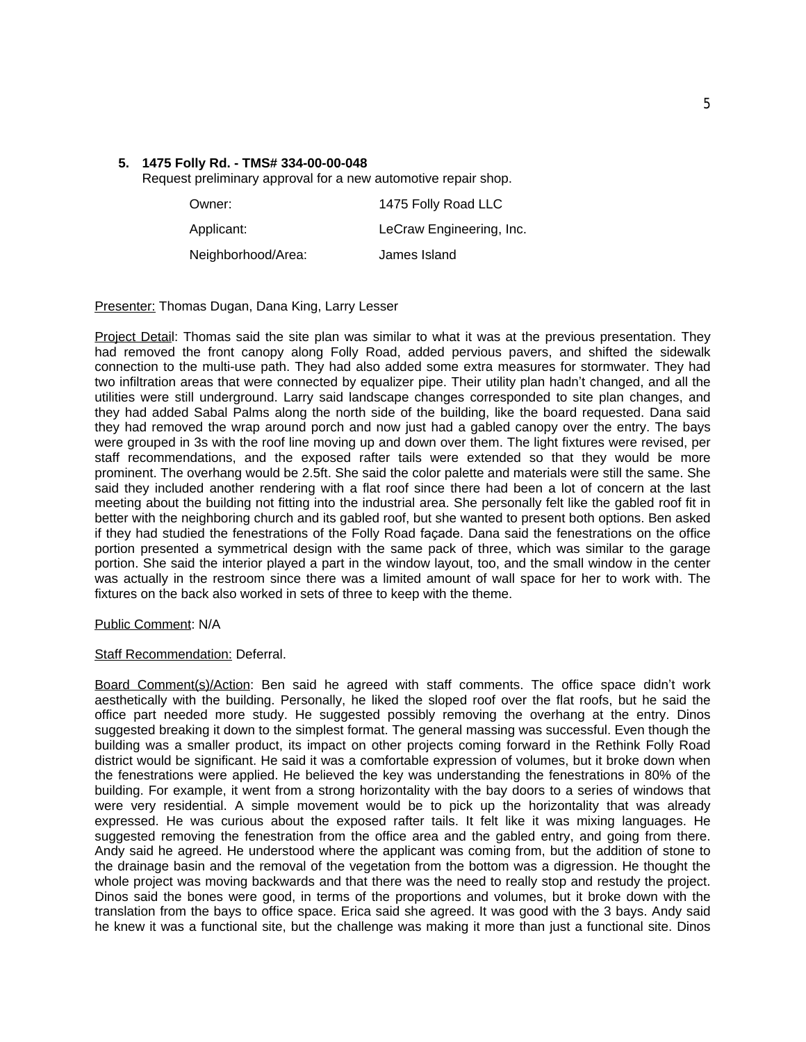# **5. 1475 Folly Rd. - TMS# 334-00-00-048**

Request preliminary approval for a new automotive repair shop.

| Owner:             | 1475 Folly Road LLC      |
|--------------------|--------------------------|
| Applicant:         | LeCraw Engineering, Inc. |
| Neighborhood/Area: | James Island             |

Presenter: Thomas Dugan, Dana King, Larry Lesser

Project Detail: Thomas said the site plan was similar to what it was at the previous presentation. They had removed the front canopy along Folly Road, added pervious pavers, and shifted the sidewalk connection to the multi-use path. They had also added some extra measures for stormwater. They had two infiltration areas that were connected by equalizer pipe. Their utility plan hadn't changed, and all the utilities were still underground. Larry said landscape changes corresponded to site plan changes, and they had added Sabal Palms along the north side of the building, like the board requested. Dana said they had removed the wrap around porch and now just had a gabled canopy over the entry. The bays were grouped in 3s with the roof line moving up and down over them. The light fixtures were revised, per staff recommendations, and the exposed rafter tails were extended so that they would be more prominent. The overhang would be 2.5ft. She said the color palette and materials were still the same. She said they included another rendering with a flat roof since there had been a lot of concern at the last meeting about the building not fitting into the industrial area. She personally felt like the gabled roof fit in better with the neighboring church and its gabled roof, but she wanted to present both options. Ben asked if they had studied the fenestrations of the Folly Road façade. Dana said the fenestrations on the office portion presented a symmetrical design with the same pack of three, which was similar to the garage portion. She said the interior played a part in the window layout, too, and the small window in the center was actually in the restroom since there was a limited amount of wall space for her to work with. The fixtures on the back also worked in sets of three to keep with the theme.

## Public Comment: N/A

## **Staff Recommendation: Deferral.**

Board Comment(s)/Action: Ben said he agreed with staff comments. The office space didn't work aesthetically with the building. Personally, he liked the sloped roof over the flat roofs, but he said the office part needed more study. He suggested possibly removing the overhang at the entry. Dinos suggested breaking it down to the simplest format. The general massing was successful. Even though the building was a smaller product, its impact on other projects coming forward in the Rethink Folly Road district would be significant. He said it was a comfortable expression of volumes, but it broke down when the fenestrations were applied. He believed the key was understanding the fenestrations in 80% of the building. For example, it went from a strong horizontality with the bay doors to a series of windows that were very residential. A simple movement would be to pick up the horizontality that was already expressed. He was curious about the exposed rafter tails. It felt like it was mixing languages. He suggested removing the fenestration from the office area and the gabled entry, and going from there. Andy said he agreed. He understood where the applicant was coming from, but the addition of stone to the drainage basin and the removal of the vegetation from the bottom was a digression. He thought the whole project was moving backwards and that there was the need to really stop and restudy the project. Dinos said the bones were good, in terms of the proportions and volumes, but it broke down with the translation from the bays to office space. Erica said she agreed. It was good with the 3 bays. Andy said he knew it was a functional site, but the challenge was making it more than just a functional site. Dinos